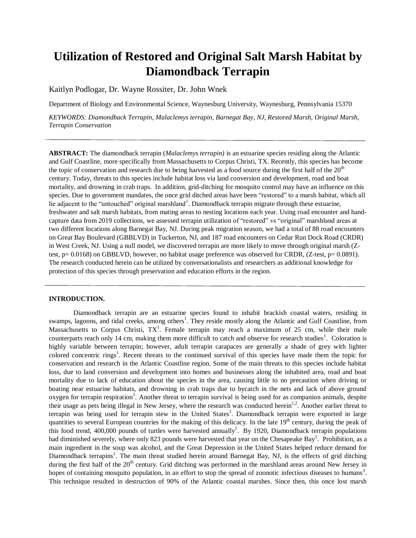# **Utilization of Restored and Original Salt Marsh Habitat by Diamondback Terrapin**

Kaitlyn Podlogar, Dr. Wayne Rossiter, Dr. John Wnek

Department of Biology and Environmental Science, Waynesburg University, Waynesburg, Pennsylvania 15370

*KEYWORDS: Diamondback Terrapin, Malaclemys terrapin, Barnegat Bay, NJ, Restored Marsh, Original Marsh, Terrapin Conservation*

**ABSTRACT:** The diamondback terrapin (*Malaclemys terrapin)* is an estuarine species residing along the Atlantic and Gulf Coastline, more specifically from Massachusetts to Corpus Christi, TX. Recently, this species has become the topic of conservation and research due to being harvested as a food source during the first half of the  $20<sup>th</sup>$ century. Today, threats to this species include habitat loss via land conversion and development, road and boat mortality, and drowning in crab traps. In addition, grid-ditching for mosquito control may have an influence on this species. Due to government mandates, the once grid ditched areas have been "restored" to a marsh habitat, which all lie adjacent to the "untouched" original marshland<sup>1</sup>. Diamondback terrapin migrate through these estuarine, freshwater and salt marsh habitats, from mating areas to nesting locations each year. Using road encounter and handcapture data from 2019 collections, we assessed terrapin utilization of "restored" vs "original" marshland areas at two different locations along Barnegat Bay, NJ. During peak migration season, we had a total of 88 road encounters on Great Bay Boulevard (GBBLVD) in Tuckerton, NJ, and 187 road encounters on Cedar Run Dock Road (CRDR) in West Creek, NJ. Using a null model, we discovered terrapin are more likely to move through original marsh (Ztest, p= 0.0168) on GBBLVD, however, no habitat usage preference was observed for CRDR, (Z-test, p= 0.0891). The research conducted herein can be utilized by conversationalists and researchers as additional knowledge for protection of this species through preservation and education efforts in the region.

#### **INTRODUCTION.**

Diamondback terrapin are an estuarine species found to inhabit brackish coastal waters, residing in swamps, lagoons, and tidal creeks, among others<sup>1</sup>. They reside mostly along the Atlantic and Gulf Coastline, from Massachusetts to Corpus Christi,  $TX^1$ . Female terrapin may reach a maximum of 25 cm, while their male counterparts reach only 14 cm, making them more difficult to catch and observe for research studies<sup>1</sup>. Coloration is highly variable between terrapin; however, adult terrapin carapaces are generally a shade of grey with lighter colored concentric rings<sup>1</sup>. Recent threats to the continued survival of this species have made them the topic for conservation and research in the Atlantic Coastline region. Some of the main threats to this species include habitat loss, due to land conversion and development into homes and businesses along the inhabited area, road and boat mortality due to lack of education about the species in the area, causing little to no precaution when driving or boating near estuarine habitats, and drowning in crab traps due to bycatch in the nets and lack of above ground oxygen for terrapin respiration<sup>1</sup>. Another threat to terrapin survival is being used for as companion animals, despite their usage as pets being illegal in New Jersey, where the research was conducted herein<sup>1,2</sup>. Another earlier threat to terrapin was being used for terrapin stew in the United States<sup>1</sup>. Diamondback terrapin were exported in large quantities to several European countries for the making of this delicacy. In the late 19<sup>th</sup> century, during the peak of this food trend, 400,000 pounds of turtles were harvested annually<sup>1</sup>. By 1920, Diamondback terrapin populations had diminished severely, where only 823 pounds were harvested that year on the Chesapeake Bay<sup>1</sup>. Prohibition, as a main ingredient in the soup was alcohol, and the Great Depression in the United States helped reduce demand for Diamondback terrapins<sup>1</sup>. The main threat studied herein around Barnegat Bay, NJ, is the effects of grid ditching during the first half of the 20<sup>th</sup> century. Grid ditching was performed in the marshland areas around New Jersey in hopes of containing mosquito population, in an effort to stop the spread of zoonotic infectious diseases to humans<sup>3</sup>. This technique resulted in destruction of 90% of the Atlantic coastal marshes. Since then, this once lost marsh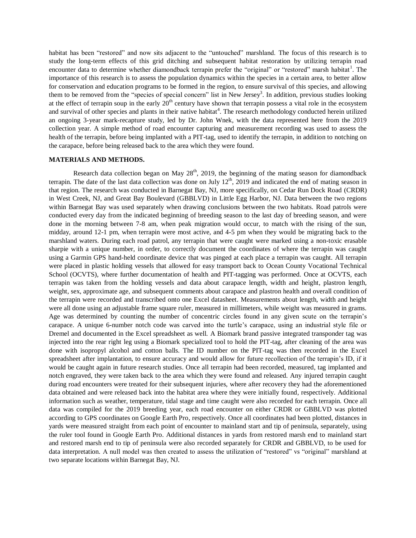habitat has been "restored" and now sits adjacent to the "untouched" marshland. The focus of this research is to study the long-term effects of this grid ditching and subsequent habitat restoration by utilizing terrapin road encounter data to determine whether diamondback terrapin prefer the "original" or "restored" marsh habitat<sup>1</sup>. The importance of this research is to assess the population dynamics within the species in a certain area, to better allow for conservation and education programs to be formed in the region, to ensure survival of this species, and allowing them to be removed from the "species of special concern" list in New Jersey<sup>3</sup>. In addition, previous studies looking at the effect of terrapin soup in the early  $20<sup>th</sup>$  century have shown that terrapin possess a vital role in the ecosystem and survival of other species and plants in their native habitat<sup>4</sup>. The research methodology conducted herein utilized an ongoing 3-year mark-recapture study, led by Dr. John Wnek, with the data represented here from the 2019 collection year. A simple method of road encounter capturing and measurement recording was used to assess the health of the terrapin, before being implanted with a PIT-tag, used to identify the terrapin, in addition to notching on the carapace, before being released back to the area which they were found.

#### **MATERIALS AND METHODS.**

Research data collection began on May  $28<sup>th</sup>$ , 2019, the beginning of the mating season for diamondback terrapin. The date of the last data collection was done on July  $12<sup>th</sup>$ , 2019 and indicated the end of mating season in that region. The research was conducted in Barnegat Bay, NJ, more specifically, on Cedar Run Dock Road (CRDR) in West Creek, NJ, and Great Bay Boulevard (GBBLVD) in Little Egg Harbor, NJ. Data between the two regions within Barnegat Bay was used separately when drawing conclusions between the two habitats. Road patrols were conducted every day from the indicated beginning of breeding season to the last day of breeding season, and were done in the morning between 7-8 am, when peak migration would occur, to match with the rising of the sun, midday, around 12-1 pm, when terrapin were most active, and 4-5 pm when they would be migrating back to the marshland waters. During each road patrol, any terrapin that were caught were marked using a non-toxic erasable sharpie with a unique number, in order, to correctly document the coordinates of where the terrapin was caught using a Garmin GPS hand-held coordinate device that was pinged at each place a terrapin was caught. All terrapin were placed in plastic holding vessels that allowed for easy transport back to Ocean County Vocational Technical School (OCVTS), where further documentation of health and PIT-tagging was performed. Once at OCVTS, each terrapin was taken from the holding vessels and data about carapace length, width and height, plastron length, weight, sex, approximate age, and subsequent comments about carapace and plastron health and overall condition of the terrapin were recorded and transcribed onto one Excel datasheet. Measurements about length, width and height were all done using an adjustable frame square ruler, measured in millimeters, while weight was measured in grams. Age was determined by counting the number of concentric circles found in any given scute on the terrapin's carapace. A unique 6-number notch code was carved into the turtle's carapace, using an industrial style file or Dremel and documented in the Excel spreadsheet as well. A Biomark brand passive integrated transponder tag was injected into the rear right leg using a Biomark specialized tool to hold the PIT-tag, after cleaning of the area was done with isopropyl alcohol and cotton balls. The ID number on the PIT-tag was then recorded in the Excel spreadsheet after implantation, to ensure accuracy and would allow for future recollection of the terrapin's ID, if it would be caught again in future research studies. Once all terrapin had been recorded, measured, tag implanted and notch engraved, they were taken back to the area which they were found and released. Any injured terrapin caught during road encounters were treated for their subsequent injuries, where after recovery they had the aforementioned data obtained and were released back into the habitat area where they were initially found, respectively. Additional information such as weather, temperature, tidal stage and time caught were also recorded for each terrapin. Once all data was compiled for the 2019 breeding year, each road encounter on either CRDR or GBBLVD was plotted according to GPS coordinates on Google Earth Pro, respectively. Once all coordinates had been plotted, distances in yards were measured straight from each point of encounter to mainland start and tip of peninsula, separately, using the ruler tool found in Google Earth Pro. Additional distances in yards from restored marsh end to mainland start and restored marsh end to tip of peninsula were also recorded separately for CRDR and GBBLVD, to be used for data interpretation. A null model was then created to assess the utilization of "restored" vs "original" marshland at two separate locations within Barnegat Bay, NJ.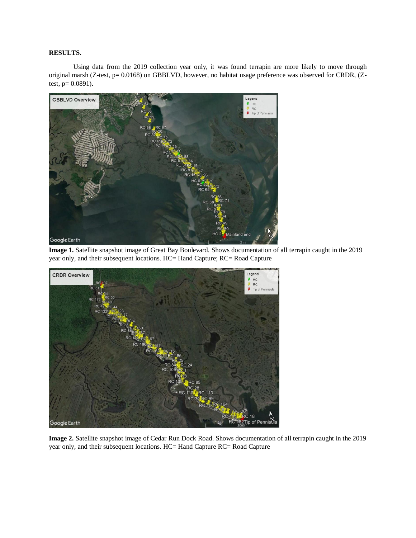# **RESULTS.**

Using data from the 2019 collection year only, it was found terrapin are more likely to move through original marsh (Z-test, p= 0.0168) on GBBLVD, however, no habitat usage preference was observed for CRDR, (Ztest,  $p= 0.0891$ ).



**Image 1.** Satellite snapshot image of Great Bay Boulevard. Shows documentation of all terrapin caught in the 2019 year only, and their subsequent locations. HC= Hand Capture; RC= Road Capture



**Image 2.** Satellite snapshot image of Cedar Run Dock Road. Shows documentation of all terrapin caught in the 2019 year only, and their subsequent locations. HC= Hand Capture RC= Road Capture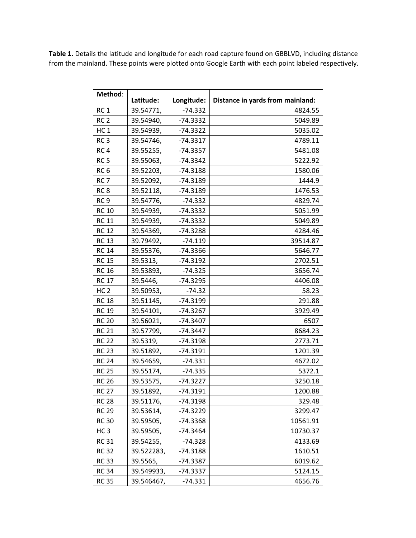**Table 1.** Details the latitude and longitude for each road capture found on GBBLVD, including distance from the mainland. These points were plotted onto Google Earth with each point labeled respectively.

| Method:         | Latitude:  | Longitude: | Distance in yards from mainland: |
|-----------------|------------|------------|----------------------------------|
| RC <sub>1</sub> | 39.54771,  | $-74.332$  | 4824.55                          |
| RC <sub>2</sub> | 39.54940,  | -74.3332   | 5049.89                          |
| HC <sub>1</sub> | 39.54939,  | $-74.3322$ | 5035.02                          |
| RC <sub>3</sub> | 39.54746,  | $-74.3317$ | 4789.11                          |
| RC <sub>4</sub> | 39.55255,  | $-74.3357$ | 5481.08                          |
| RC <sub>5</sub> | 39.55063,  | $-74.3342$ | 5222.92                          |
| RC <sub>6</sub> | 39.52203,  | -74.3188   | 1580.06                          |
| RC <sub>7</sub> | 39.52092,  | $-74.3189$ | 1444.9                           |
| RC <sub>8</sub> | 39.52118,  | -74.3189   | 1476.53                          |
| RC <sub>9</sub> | 39.54776,  | $-74.332$  | 4829.74                          |
| <b>RC 10</b>    | 39.54939,  | $-74.3332$ | 5051.99                          |
| <b>RC 11</b>    | 39.54939,  | $-74.3332$ | 5049.89                          |
| <b>RC 12</b>    | 39.54369,  | -74.3288   | 4284.46                          |
| <b>RC 13</b>    | 39.79492,  | $-74.119$  | 39514.87                         |
| <b>RC 14</b>    | 39.55376,  | -74.3366   | 5646.77                          |
| <b>RC 15</b>    | 39.5313,   | $-74.3192$ | 2702.51                          |
| <b>RC 16</b>    | 39.53893,  | $-74.325$  | 3656.74                          |
| <b>RC 17</b>    | 39.5446,   | -74.3295   | 4406.08                          |
| HC <sub>2</sub> | 39.50953,  | $-74.32$   | 58.23                            |
| <b>RC 18</b>    | 39.51145,  | -74.3199   | 291.88                           |
| <b>RC 19</b>    | 39.54101,  | $-74.3267$ | 3929.49                          |
| <b>RC 20</b>    | 39.56021,  | $-74.3407$ | 6507                             |
| <b>RC 21</b>    | 39.57799,  | $-74.3447$ | 8684.23                          |
| <b>RC 22</b>    | 39.5319,   | $-74.3198$ | 2773.71                          |
| <b>RC 23</b>    | 39.51892,  | $-74.3191$ | 1201.39                          |
| <b>RC 24</b>    | 39.54659,  | $-74.331$  | 4672.02                          |
| <b>RC 25</b>    | 39.55174,  | $-74.335$  | 5372.1                           |
| <b>RC 26</b>    | 39.53575,  | $-74.3227$ | 3250.18                          |
| <b>RC 27</b>    | 39.51892,  | $-74.3191$ | 1200.88                          |
| <b>RC 28</b>    | 39.51176,  | $-74.3198$ | 329.48                           |
| <b>RC 29</b>    | 39.53614,  | -74.3229   | 3299.47                          |
| <b>RC30</b>     | 39.59505,  | -74.3368   | 10561.91                         |
| HC <sub>3</sub> | 39.59505,  | -74.3464   | 10730.37                         |
| <b>RC 31</b>    | 39.54255,  | $-74.328$  | 4133.69                          |
| <b>RC32</b>     | 39.522283, | -74.3188   | 1610.51                          |
| <b>RC33</b>     | 39.5565,   | $-74.3387$ | 6019.62                          |
| <b>RC 34</b>    | 39.549933, | -74.3337   | 5124.15                          |
| <b>RC 35</b>    | 39.546467, | -74.331    | 4656.76                          |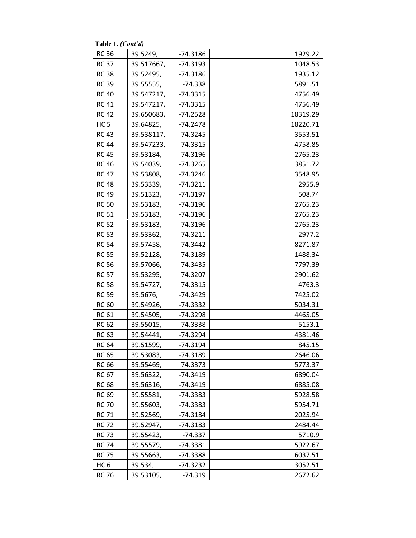**Table 1.**  *(Cont'd)*

| <b>RC 36</b>    | 39.5249,   | $-74.3186$ | 1929.22  |
|-----------------|------------|------------|----------|
| <b>RC 37</b>    | 39.517667, | $-74.3193$ | 1048.53  |
| <b>RC38</b>     | 39.52495,  | $-74.3186$ | 1935.12  |
| <b>RC 39</b>    | 39.55555,  | -74.338    | 5891.51  |
| <b>RC 40</b>    | 39.547217, | $-74.3315$ | 4756.49  |
| <b>RC 41</b>    | 39.547217, | $-74.3315$ | 4756.49  |
| <b>RC 42</b>    | 39.650683, | $-74.2528$ | 18319.29 |
| HC <sub>5</sub> | 39.64825,  | $-74.2478$ | 18220.71 |
| <b>RC 43</b>    | 39.538117, | $-74.3245$ | 3553.51  |
| <b>RC 44</b>    | 39.547233, | $-74.3315$ | 4758.85  |
| <b>RC 45</b>    | 39.53184,  | $-74.3196$ | 2765.23  |
| <b>RC 46</b>    | 39.54039,  | $-74.3265$ | 3851.72  |
| <b>RC 47</b>    | 39.53808,  | -74.3246   | 3548.95  |
| <b>RC 48</b>    | 39.53339,  | $-74.3211$ | 2955.9   |
| <b>RC 49</b>    | 39.51323,  | $-74.3197$ | 508.74   |
| <b>RC 50</b>    | 39.53183,  | $-74.3196$ | 2765.23  |
| <b>RC 51</b>    | 39.53183,  | -74.3196   | 2765.23  |
| <b>RC 52</b>    | 39.53183,  | $-74.3196$ | 2765.23  |
| <b>RC 53</b>    | 39.53362,  | $-74.3211$ | 2977.2   |
| <b>RC 54</b>    | 39.57458,  | $-74.3442$ | 8271.87  |
| <b>RC 55</b>    | 39.52128,  | $-74.3189$ | 1488.34  |
| <b>RC 56</b>    | 39.57066,  | $-74.3435$ | 7797.39  |
| <b>RC 57</b>    | 39.53295,  | $-74.3207$ | 2901.62  |
| <b>RC 58</b>    | 39.54727,  | $-74.3315$ | 4763.3   |
| <b>RC 59</b>    | 39.5676,   | $-74.3429$ | 7425.02  |
| <b>RC 60</b>    | 39.54926,  | $-74.3332$ | 5034.31  |
| <b>RC 61</b>    | 39.54505,  | $-74.3298$ | 4465.05  |
| <b>RC 62</b>    | 39.55015,  | $-74.3338$ | 5153.1   |
| <b>RC 63</b>    | 39.54441,  | $-74.3294$ | 4381.46  |
| <b>RC 64</b>    | 39.51599,  | $-74.3194$ | 845.15   |
| <b>RC 65</b>    | 39.53083,  | $-74.3189$ | 2646.06  |
| <b>RC 66</b>    | 39.55469,  | -74.3373   | 5773.37  |
| RC 67           | 39.56322,  | -74.3419   | 6890.04  |
| <b>RC 68</b>    | 39.56316,  | -74.3419   | 6885.08  |
| <b>RC 69</b>    | 39.55581,  | -74.3383   | 5928.58  |
| <b>RC 70</b>    | 39.55603,  | -74.3383   | 5954.71  |
| <b>RC 71</b>    | 39.52569,  | -74.3184   | 2025.94  |
| <b>RC 72</b>    | 39.52947,  | -74.3183   | 2484.44  |
| <b>RC 73</b>    | 39.55423,  | -74.337    | 5710.9   |
| <b>RC 74</b>    | 39.55579,  | -74.3381   | 5922.67  |
| <b>RC 75</b>    | 39.55663,  | -74.3388   | 6037.51  |
| HC <sub>6</sub> | 39.534,    | -74.3232   | 3052.51  |
| <b>RC 76</b>    | 39.53105,  | -74.319    | 2672.62  |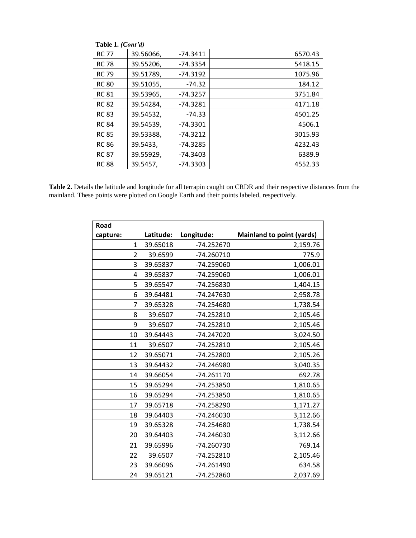| Table 1. (Cont'd) |           |            |         |
|-------------------|-----------|------------|---------|
| <b>RC 77</b>      | 39.56066, | $-74.3411$ | 6570.43 |
| <b>RC 78</b>      | 39.55206, | $-74.3354$ | 5418.15 |
| <b>RC 79</b>      | 39.51789, | $-74.3192$ | 1075.96 |
| <b>RC 80</b>      | 39.51055, | $-74.32$   | 184.12  |
| <b>RC 81</b>      | 39.53965, | $-74.3257$ | 3751.84 |
| <b>RC 82</b>      | 39.54284, | $-74.3281$ | 4171.18 |
| <b>RC 83</b>      | 39.54532, | $-74.33$   | 4501.25 |
| <b>RC 84</b>      | 39.54539, | -74.3301   | 4506.1  |
| <b>RC 85</b>      | 39.53388, | $-74.3212$ | 3015.93 |
| <b>RC 86</b>      | 39.5433.  | $-74.3285$ | 4232.43 |
| <b>RC 87</b>      | 39.55929, | $-74.3403$ | 6389.9  |
| <b>RC 88</b>      | 39.5457,  | $-74.3303$ | 4552.33 |

Table 2. Details the latitude and longitude for all terrapin caught on CRDR and their respective distances from the mainland. These points were plotted on Google Earth and their points labeled, respectively.

| Road           |           |              |                                  |
|----------------|-----------|--------------|----------------------------------|
| capture:       | Latitude: | Longitude:   | <b>Mainland to point (yards)</b> |
| 1              | 39.65018  | $-74.252670$ | 2,159.76                         |
| $\overline{2}$ | 39.6599   | $-74.260710$ | 775.9                            |
| 3              | 39.65837  | $-74.259060$ | 1,006.01                         |
| $\overline{4}$ | 39.65837  | $-74.259060$ | 1,006.01                         |
| 5              | 39.65547  | -74.256830   | 1,404.15                         |
| 6              | 39.64481  | -74.247630   | 2,958.78                         |
| 7              | 39.65328  | $-74.254680$ | 1,738.54                         |
| 8              | 39.6507   | $-74.252810$ | 2,105.46                         |
| 9              | 39.6507   | $-74.252810$ | 2,105.46                         |
| 10             | 39.64443  | $-74.247020$ | 3,024.50                         |
| 11             | 39.6507   | $-74.252810$ | 2,105.46                         |
| 12             | 39.65071  | -74.252800   | 2,105.26                         |
| 13             | 39.64432  | -74.246980   | 3,040.35                         |
| 14             | 39.66054  | $-74.261170$ | 692.78                           |
| 15             | 39.65294  | -74.253850   | 1,810.65                         |
| 16             | 39.65294  | $-74.253850$ | 1,810.65                         |
| 17             | 39.65718  | $-74.258290$ | 1,171.27                         |
| 18             | 39.64403  | $-74.246030$ | 3,112.66                         |
| 19             | 39.65328  | $-74.254680$ | 1,738.54                         |
| 20             | 39.64403  | $-74.246030$ | 3,112.66                         |
| 21             | 39.65996  | $-74.260730$ | 769.14                           |
| 22             | 39.6507   | $-74.252810$ | 2,105.46                         |
| 23             | 39.66096  | $-74.261490$ | 634.58                           |
| 24             | 39.65121  | -74.252860   | 2,037.69                         |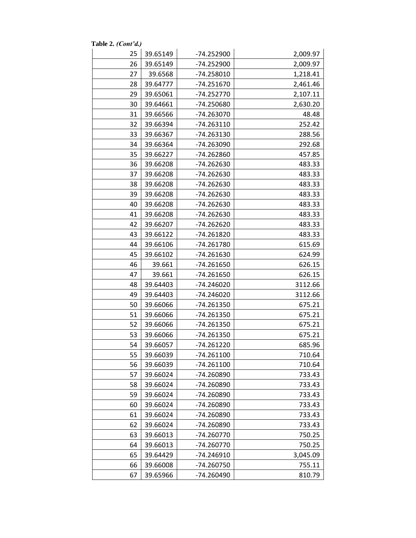**Table 2.** *(Cont'd.)*

| 25 | 39.65149 | -74.252900   | 2,009.97 |
|----|----------|--------------|----------|
| 26 | 39.65149 | -74.252900   | 2,009.97 |
| 27 | 39.6568  | -74.258010   | 1,218.41 |
| 28 | 39.64777 | $-74.251670$ | 2,461.46 |
| 29 | 39.65061 | $-74.252770$ | 2,107.11 |
| 30 | 39.64661 | -74.250680   | 2,630.20 |
| 31 | 39.66566 | -74.263070   | 48.48    |
| 32 | 39.66394 | $-74.263110$ | 252.42   |
| 33 | 39.66367 | -74.263130   | 288.56   |
| 34 | 39.66364 | -74.263090   | 292.68   |
| 35 | 39.66227 | -74.262860   | 457.85   |
| 36 | 39.66208 | -74.262630   | 483.33   |
| 37 | 39.66208 | -74.262630   | 483.33   |
| 38 | 39.66208 | -74.262630   | 483.33   |
| 39 | 39.66208 | -74.262630   | 483.33   |
| 40 | 39.66208 | -74.262630   | 483.33   |
| 41 | 39.66208 | -74.262630   | 483.33   |
| 42 | 39.66207 | -74.262620   | 483.33   |
| 43 | 39.66122 | $-74.261820$ | 483.33   |
| 44 | 39.66106 | -74.261780   | 615.69   |
| 45 | 39.66102 | -74.261630   | 624.99   |
| 46 | 39.661   | -74.261650   | 626.15   |
| 47 | 39.661   | $-74.261650$ | 626.15   |
| 48 | 39.64403 | -74.246020   | 3112.66  |
| 49 | 39.64403 | -74.246020   | 3112.66  |
| 50 | 39.66066 | -74.261350   | 675.21   |
| 51 | 39.66066 | -74.261350   | 675.21   |
| 52 | 39.66066 | -74.261350   | 675.21   |
| 53 | 39.66066 | -74.261350   | 675.21   |
| 54 | 39.66057 | -74.261220   | 685.96   |
| 55 | 39.66039 | -74.261100   | 710.64   |
| 56 | 39.66039 | $-74.261100$ | 710.64   |
| 57 | 39.66024 | -74.260890   | 733.43   |
| 58 | 39.66024 | -74.260890   | 733.43   |
| 59 | 39.66024 | -74.260890   | 733.43   |
| 60 | 39.66024 | -74.260890   | 733.43   |
| 61 | 39.66024 | -74.260890   | 733.43   |
| 62 | 39.66024 | -74.260890   | 733.43   |
| 63 | 39.66013 | -74.260770   | 750.25   |
| 64 | 39.66013 | $-74.260770$ | 750.25   |
| 65 | 39.64429 | $-74.246910$ | 3,045.09 |
| 66 | 39.66008 | -74.260750   | 755.11   |
| 67 | 39.65966 | -74.260490   | 810.79   |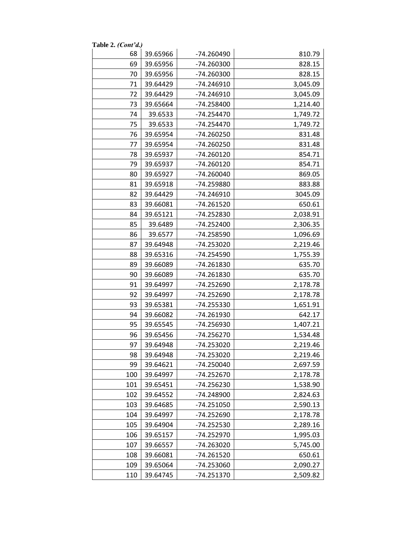| Table 2. (Cont'd.) |          |              |          |
|--------------------|----------|--------------|----------|
| 68                 | 39.65966 | -74.260490   | 810.79   |
| 69                 | 39.65956 | -74.260300   | 828.15   |
| 70                 | 39.65956 | -74.260300   | 828.15   |
| 71                 | 39.64429 | $-74.246910$ | 3,045.09 |
| 72                 | 39.64429 | -74.246910   | 3,045.09 |
| 73                 | 39.65664 | -74.258400   | 1,214.40 |
| 74                 | 39.6533  | -74.254470   | 1,749.72 |
| 75                 | 39.6533  | $-74.254470$ | 1,749.72 |
| 76                 | 39.65954 | $-74.260250$ | 831.48   |
| 77                 | 39.65954 | $-74.260250$ | 831.48   |
| 78                 | 39.65937 | $-74.260120$ | 854.71   |
| 79                 | 39.65937 | $-74.260120$ | 854.71   |
| 80                 | 39.65927 | -74.260040   | 869.05   |
| 81                 | 39.65918 | -74.259880   | 883.88   |
| 82                 | 39.64429 | -74.246910   | 3045.09  |
| 83                 | 39.66081 | $-74.261520$ | 650.61   |
| 84                 | 39.65121 | -74.252830   | 2,038.91 |
| 85                 | 39.6489  | -74.252400   | 2,306.35 |
| 86                 | 39.6577  | -74.258590   | 1,096.69 |
| 87                 | 39.64948 | -74.253020   | 2,219.46 |
| 88                 | 39.65316 | -74.254590   | 1,755.39 |
| 89                 | 39.66089 | -74.261830   | 635.70   |
| 90                 | 39.66089 | -74.261830   | 635.70   |
| 91                 | 39.64997 | -74.252690   | 2,178.78 |
| 92                 | 39.64997 | -74.252690   | 2,178.78 |
| 93                 | 39.65381 | -74.255330   | 1,651.91 |
| 94                 | 39.66082 | -74.261930   | 642.17   |
| 95                 | 39.65545 | -74.256930   | 1,407.21 |
| 96                 | 39.65456 | -74.256270   | 1,534.48 |
| 97                 | 39.64948 | -74.253020   | 2,219.46 |
| 98                 | 39.64948 | -74.253020   | 2,219.46 |
| 99                 | 39.64621 | -74.250040   | 2,697.59 |
| 100                | 39.64997 | -74.252670   | 2,178.78 |
| 101                | 39.65451 | -74.256230   | 1,538.90 |
| 102                | 39.64552 | -74.248900   | 2,824.63 |
| 103                | 39.64685 | $-74.251050$ | 2,590.13 |
| 104                | 39.64997 | -74.252690   | 2,178.78 |
| 105                | 39.64904 | -74.252530   | 2,289.16 |
| 106                | 39.65157 | -74.252970   | 1,995.03 |
| 107                | 39.66557 | -74.263020   | 5,745.00 |
| 108                | 39.66081 | -74.261520   | 650.61   |
| 109                | 39.65064 | -74.253060   | 2,090.27 |
| 110                | 39.64745 | -74.251370   | 2,509.82 |
|                    |          |              |          |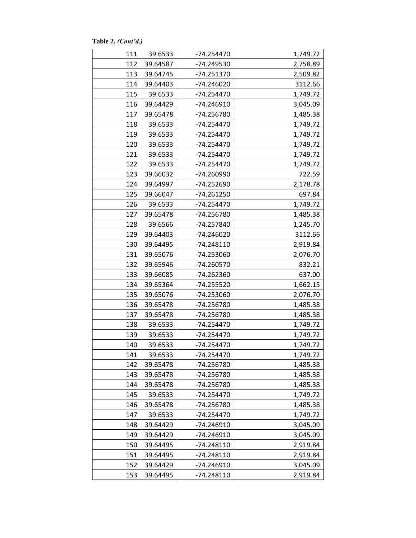**Table 2.** *(Cont'd.)*

| 111 | 39.6533  | -74.254470   | 1,749.72 |
|-----|----------|--------------|----------|
| 112 | 39.64587 | -74.249530   | 2,758.89 |
| 113 | 39.64745 | $-74.251370$ | 2,509.82 |
| 114 | 39.64403 | $-74.246020$ | 3112.66  |
| 115 | 39.6533  | -74.254470   | 1,749.72 |
| 116 | 39.64429 | -74.246910   | 3,045.09 |
| 117 | 39.65478 | -74.256780   | 1,485.38 |
| 118 | 39.6533  | $-74.254470$ | 1,749.72 |
| 119 | 39.6533  | $-74.254470$ | 1,749.72 |
| 120 | 39.6533  | $-74.254470$ | 1,749.72 |
| 121 | 39.6533  | $-74.254470$ | 1,749.72 |
| 122 | 39.6533  | $-74.254470$ | 1,749.72 |
| 123 | 39.66032 | -74.260990   | 722.59   |
| 124 | 39.64997 | -74.252690   | 2,178.78 |
| 125 | 39.66047 | -74.261250   | 697.84   |
| 126 | 39.6533  | -74.254470   | 1,749.72 |
| 127 | 39.65478 | -74.256780   | 1,485.38 |
| 128 | 39.6566  | -74.257840   | 1,245.70 |
| 129 | 39.64403 | -74.246020   | 3112.66  |
| 130 | 39.64495 | -74.248110   | 2,919.84 |
| 131 | 39.65076 | -74.253060   | 2,076.70 |
| 132 | 39.65946 | -74.260570   | 832.21   |
| 133 | 39.66085 | -74.262360   | 637.00   |
| 134 | 39.65364 | $-74.255520$ | 1,662.15 |
| 135 | 39.65076 | -74.253060   | 2,076.70 |
| 136 | 39.65478 | -74.256780   | 1,485.38 |
| 137 | 39.65478 | -74.256780   | 1,485.38 |
| 138 | 39.6533  | $-74.254470$ | 1,749.72 |
| 139 | 39.6533  | -74.254470   | 1,749.72 |
| 140 | 39.6533  | $-74.254470$ | 1,749.72 |
| 141 | 39.6533  | -74.254470   | 1,749.72 |
| 142 | 39.65478 | -74.256780   | 1,485.38 |
| 143 | 39.65478 | -74.256780   | 1,485.38 |
| 144 | 39.65478 | -74.256780   | 1,485.38 |
| 145 | 39.6533  | -74.254470   | 1,749.72 |
| 146 | 39.65478 | -74.256780   | 1,485.38 |
| 147 | 39.6533  | $-74.254470$ | 1,749.72 |
| 148 | 39.64429 | -74.246910   | 3,045.09 |
| 149 | 39.64429 | -74.246910   | 3,045.09 |
| 150 | 39.64495 | -74.248110   | 2,919.84 |
| 151 | 39.64495 | -74.248110   | 2,919.84 |
| 152 | 39.64429 | -74.246910   | 3,045.09 |
| 153 | 39.64495 | -74.248110   | 2,919.84 |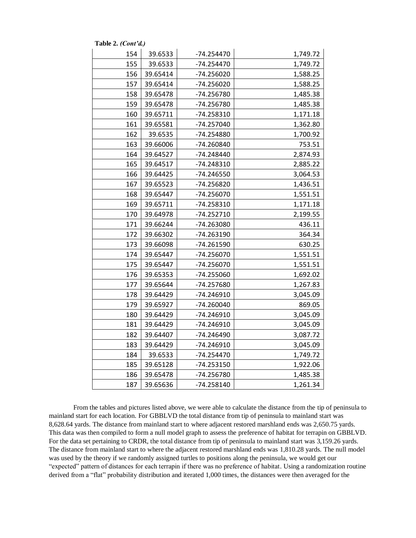| 154 | 39.6533  | -74.254470   | 1,749.72 |
|-----|----------|--------------|----------|
| 155 | 39.6533  | -74.254470   | 1,749.72 |
| 156 | 39.65414 | -74.256020   | 1,588.25 |
| 157 | 39.65414 | -74.256020   | 1,588.25 |
| 158 | 39.65478 | -74.256780   | 1,485.38 |
| 159 | 39.65478 | -74.256780   | 1,485.38 |
| 160 | 39.65711 | -74.258310   | 1,171.18 |
| 161 | 39.65581 | -74.257040   | 1,362.80 |
| 162 | 39.6535  | -74.254880   | 1,700.92 |
| 163 | 39.66006 | -74.260840   | 753.51   |
| 164 | 39.64527 | -74.248440   | 2,874.93 |
| 165 | 39.64517 | -74.248310   | 2,885.22 |
| 166 | 39.64425 | $-74.246550$ | 3,064.53 |
| 167 | 39.65523 | -74.256820   | 1,436.51 |
| 168 | 39.65447 | -74.256070   | 1,551.51 |
| 169 | 39.65711 | -74.258310   | 1,171.18 |
| 170 | 39.64978 | $-74.252710$ | 2,199.55 |
| 171 | 39.66244 | -74.263080   | 436.11   |
| 172 | 39.66302 | -74.263190   | 364.34   |
| 173 | 39.66098 | -74.261590   | 630.25   |
| 174 | 39.65447 | $-74.256070$ | 1,551.51 |
| 175 | 39.65447 | -74.256070   | 1,551.51 |
| 176 | 39.65353 | -74.255060   | 1,692.02 |
| 177 | 39.65644 | -74.257680   | 1,267.83 |
| 178 | 39.64429 | -74.246910   | 3,045.09 |
| 179 | 39.65927 | $-74.260040$ | 869.05   |
| 180 | 39.64429 | $-74.246910$ | 3,045.09 |
| 181 | 39.64429 | -74.246910   | 3,045.09 |
| 182 | 39.64407 | -74.246490   | 3,087.72 |
| 183 | 39.64429 | -74.246910   | 3,045.09 |
| 184 | 39.6533  | -74.254470   | 1,749.72 |
| 185 | 39.65128 | $-74.253150$ | 1,922.06 |
| 186 | 39.65478 | -74.256780   | 1,485.38 |
| 187 | 39.65636 | $-74.258140$ | 1,261.34 |

**Table 2.** *(Cont'd.)*

From the tables and pictures listed above, we were able to calculate the distance from the tip of peninsula to mainland start for each location. For GBBLVD the total distance from tip of peninsula to mainland start was 8,628.64 yards. The distance from mainland start to where adjacent restored marshland ends was 2,650.75 yards. This data was then compiled to form a null model graph to assess the preference of habitat for terrapin on GBBLVD. For the data set pertaining to CRDR, the total distance from tip of peninsula to mainland start was 3,159.26 yards. The distance from mainland start to where the adjacent restored marshland ends was 1,810.28 yards. The null model was used by the theory if we randomly assigned turtles to positions along the peninsula, we would get our "expected" pattern of distances for each terrapin if there was no preference of habitat. Using a randomization routine derived from a "flat" probability distribution and iterated 1,000 times, the distances were then averaged for the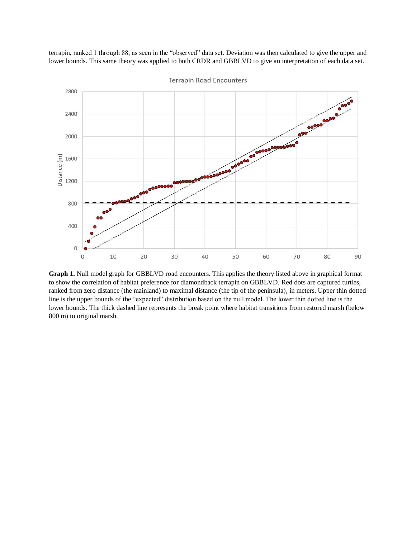terrapin, ranked 1 through 88, as seen in the "observed" data set. Deviation was then calculated to give the upper and lower bounds. This same theory was applied to both CRDR and GBBLVD to give an interpretation of each data set.



**Terrapin Road Encounters** 

**Graph 1.** Null model graph for GBBLVD road encounters. This applies the theory listed above in graphical format to show the correlation of habitat preference for diamondback terrapin on GBBLVD. Red dots are captured turtles, ranked from zero distance (the mainland) to maximal distance (the tip of the peninsula), in meters. Upper thin dotted line is the upper bounds of the "expected" distribution based on the null model. The lower thin dotted line is the lower bounds. The thick dashed line represents the break point where habitat transitions from restored marsh (below 800 m) to original marsh.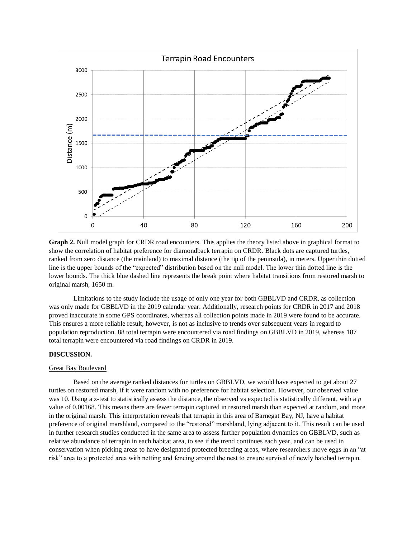

**Graph 2.** Null model graph for CRDR road encounters. This applies the theory listed above in graphical format to show the correlation of habitat preference for diamondback terrapin on CRDR. Black dots are captured turtles, ranked from zero distance (the mainland) to maximal distance (the tip of the peninsula), in meters. Upper thin dotted line is the upper bounds of the "expected" distribution based on the null model. The lower thin dotted line is the lower bounds. The thick blue dashed line represents the break point where habitat transitions from restored marsh to original marsh, 1650 m.

Limitations to the study include the usage of only one year for both GBBLVD and CRDR, as collection was only made for GBBLVD in the 2019 calendar year. Additionally, research points for CRDR in 2017 and 2018 proved inaccurate in some GPS coordinates, whereas all collection points made in 2019 were found to be accurate. This ensures a more reliable result, however, is not as inclusive to trends over subsequent years in regard to population reproduction. 88 total terrapin were encountered via road findings on GBBLVD in 2019, whereas 187 total terrapin were encountered via road findings on CRDR in 2019.

### **DISCUSSION.**

#### Great Bay Boulevard

Based on the average ranked distances for turtles on GBBLVD, we would have expected to get about 27 turtles on restored marsh, if it were random with no preference for habitat selection. However, our observed value was 10. Using a z-test to statistically assess the distance, the observed vs expected is statistically different, with a *p* value of 0.00168. This means there are fewer terrapin captured in restored marsh than expected at random, and more in the original marsh. This interpretation reveals that terrapin in this area of Barnegat Bay, NJ, have a habitat preference of original marshland, compared to the "restored" marshland, lying adjacent to it. This result can be used in further research studies conducted in the same area to assess further population dynamics on GBBLVD, such as relative abundance of terrapin in each habitat area, to see if the trend continues each year, and can be used in conservation when picking areas to have designated protected breeding areas, where researchers move eggs in an "at risk" area to a protected area with netting and fencing around the nest to ensure survival of newly hatched terrapin.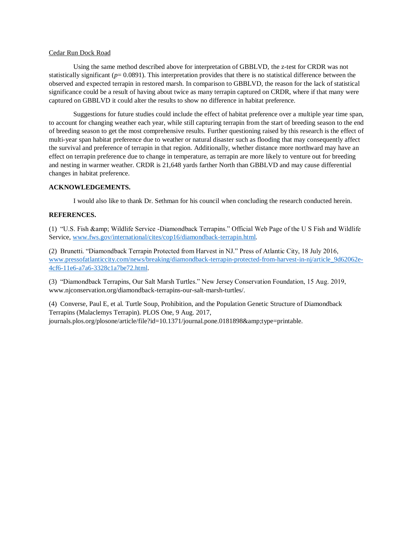#### Cedar Run Dock Road

Using the same method described above for interpretation of GBBLVD, the z-test for CRDR was not statistically significant ( $p= 0.0891$ ). This interpretation provides that there is no statistical difference between the observed and expected terrapin in restored marsh. In comparison to GBBLVD, the reason for the lack of statistical significance could be a result of having about twice as many terrapin captured on CRDR, where if that many were captured on GBBLVD it could alter the results to show no difference in habitat preference.

Suggestions for future studies could include the effect of habitat preference over a multiple year time span, to account for changing weather each year, while still capturing terrapin from the start of breeding season to the end of breeding season to get the most comprehensive results. Further questioning raised by this research is the effect of multi-year span habitat preference due to weather or natural disaster such as flooding that may consequently affect the survival and preference of terrapin in that region. Additionally, whether distance more northward may have an effect on terrapin preference due to change in temperature, as terrapin are more likely to venture out for breeding and nesting in warmer weather. CRDR is 21,648 yards farther North than GBBLVD and may cause differential changes in habitat preference.

#### **ACKNOWLEDGEMENTS.**

I would also like to thank Dr. Sethman for his council when concluding the research conducted herein.

## **REFERENCES.**

(1) "U.S. Fish & Wildlife Service -Diamondback Terrapins." Official Web Page of the U S Fish and Wildlife Service, [www.fws.gov/international/cites/cop16/diamondback-terrapin.html.](http://www.fws.gov/international/cites/cop16/diamondback-terrapin.html)

(2) Brunetti. "Diamondback Terrapin Protected from Harvest in NJ." Press of Atlantic City, 18 July 2016, [www.pressofatlanticcity.com/news/breaking/diamondback-terrapin-protected-from-harvest-in-nj/article\\_9d62062e-](http://www.pressofatlanticcity.com/news/breaking/diamondback-terrapin-protected-from-harvest-in-nj/article_9d62062e-4cf6-11e6-a7a6-3328c1a7be72.html)[4cf6-11e6-a7a6-3328c1a7be72.html.](http://www.pressofatlanticcity.com/news/breaking/diamondback-terrapin-protected-from-harvest-in-nj/article_9d62062e-4cf6-11e6-a7a6-3328c1a7be72.html)

(3) "Diamondback Terrapins, Our Salt Marsh Turtles." New Jersey Conservation Foundation, 15 Aug. 2019, www.njconservation.org/diamondback-terrapins-our-salt-marsh-turtles/.

(4) Converse, Paul E, et al. Turtle Soup, Prohibition, and the Population Genetic Structure of Diamondback Terrapins (Malaclemys Terrapin). PLOS One, 9 Aug. 2017, journals.plos.org/plosone/article/file?id=10.1371/journal.pone.0181898&type=printable.